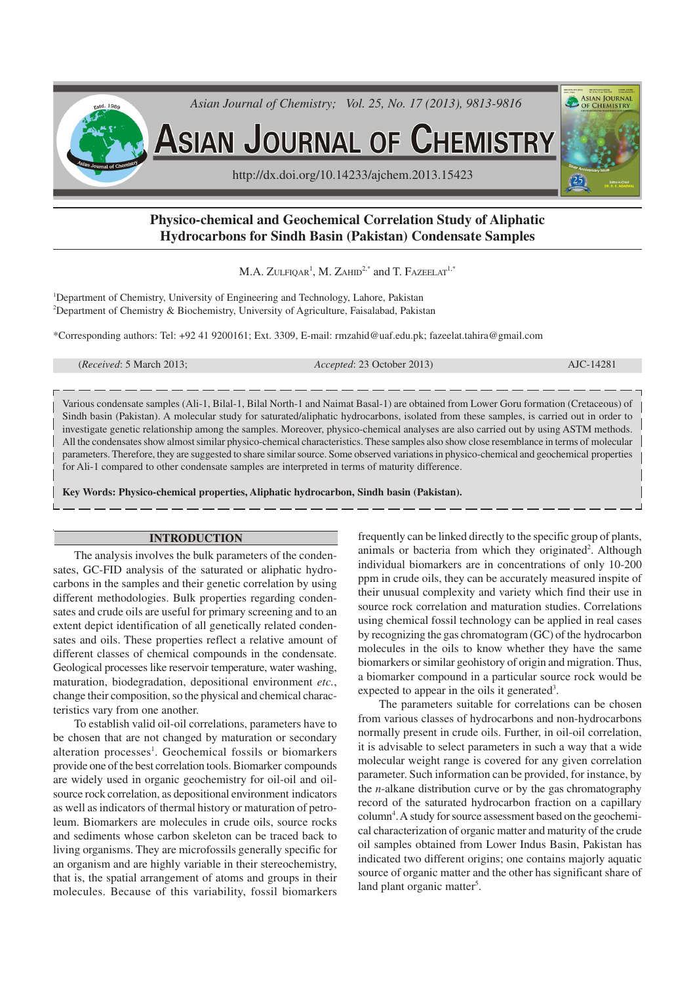

# **Physico-chemical and Geochemical Correlation Study of Aliphatic Hydrocarbons for Sindh Basin (Pakistan) Condensate Samples**

 $\rm M.A.$  Zulfiqar<sup>1</sup>,  $\rm M.$  Zahid<sup>2,\*</sup> and T. Fazeelat<sup>1,\*</sup>

<sup>1</sup>Department of Chemistry, University of Engineering and Technology, Lahore, Pakistan <sup>2</sup>Department of Chemistry & Biochemistry, University of Agriculture, Faisalabad, Pakistan

\*Corresponding authors: Tel: +92 41 9200161; Ext. 3309, E-mail: rmzahid@uaf.edu.pk; fazeelat.tahira@gmail.com

| ( <i>Received</i> : 5 March 2013; |  |  |  |  |
|-----------------------------------|--|--|--|--|
|-----------------------------------|--|--|--|--|

*Accepted*: 23 October 2013) **AJC-14281** 

Various condensate samples (Ali-1, Bilal-1, Bilal North-1 and Naimat Basal-1) are obtained from Lower Goru formation (Cretaceous) of Sindh basin (Pakistan). A molecular study for saturated/aliphatic hydrocarbons, isolated from these samples, is carried out in order to investigate genetic relationship among the samples. Moreover, physico-chemical analyses are also carried out by using ASTM methods. All the condensates show almost similar physico-chemical characteristics. These samples also show close resemblance in terms of molecular parameters. Therefore, they are suggested to share similar source. Some observed variations in physico-chemical and geochemical properties for Ali-1 compared to other condensate samples are interpreted in terms of maturity difference.

**Key Words: Physico-chemical properties, Aliphatic hydrocarbon, Sindh basin (Pakistan).**

### **INTRODUCTION**

The analysis involves the bulk parameters of the condensates, GC-FID analysis of the saturated or aliphatic hydrocarbons in the samples and their genetic correlation by using different methodologies. Bulk properties regarding condensates and crude oils are useful for primary screening and to an extent depict identification of all genetically related condensates and oils. These properties reflect a relative amount of different classes of chemical compounds in the condensate. Geological processes like reservoir temperature, water washing, maturation, biodegradation, depositional environment *etc.*, change their composition, so the physical and chemical characteristics vary from one another.

To establish valid oil-oil correlations, parameters have to be chosen that are not changed by maturation or secondary alteration processes<sup>1</sup>. Geochemical fossils or biomarkers provide one of the best correlation tools. Biomarker compounds are widely used in organic geochemistry for oil-oil and oilsource rock correlation, as depositional environment indicators as well as indicators of thermal history or maturation of petroleum. Biomarkers are molecules in crude oils, source rocks and sediments whose carbon skeleton can be traced back to living organisms. They are microfossils generally specific for an organism and are highly variable in their stereochemistry, that is, the spatial arrangement of atoms and groups in their molecules. Because of this variability, fossil biomarkers

frequently can be linked directly to the specific group of plants, animals or bacteria from which they originated<sup>2</sup>. Although individual biomarkers are in concentrations of only 10-200 ppm in crude oils, they can be accurately measured inspite of their unusual complexity and variety which find their use in source rock correlation and maturation studies. Correlations using chemical fossil technology can be applied in real cases by recognizing the gas chromatogram (GC) of the hydrocarbon molecules in the oils to know whether they have the same biomarkers or similar geohistory of origin and migration. Thus, a biomarker compound in a particular source rock would be expected to appear in the oils it generated<sup>3</sup>.

The parameters suitable for correlations can be chosen from various classes of hydrocarbons and non-hydrocarbons normally present in crude oils. Further, in oil-oil correlation, it is advisable to select parameters in such a way that a wide molecular weight range is covered for any given correlation parameter. Such information can be provided, for instance, by the *n*-alkane distribution curve or by the gas chromatography record of the saturated hydrocarbon fraction on a capillary column<sup>4</sup>. A study for source assessment based on the geochemical characterization of organic matter and maturity of the crude oil samples obtained from Lower Indus Basin, Pakistan has indicated two different origins; one contains majorly aquatic source of organic matter and the other has significant share of land plant organic matter<sup>5</sup>.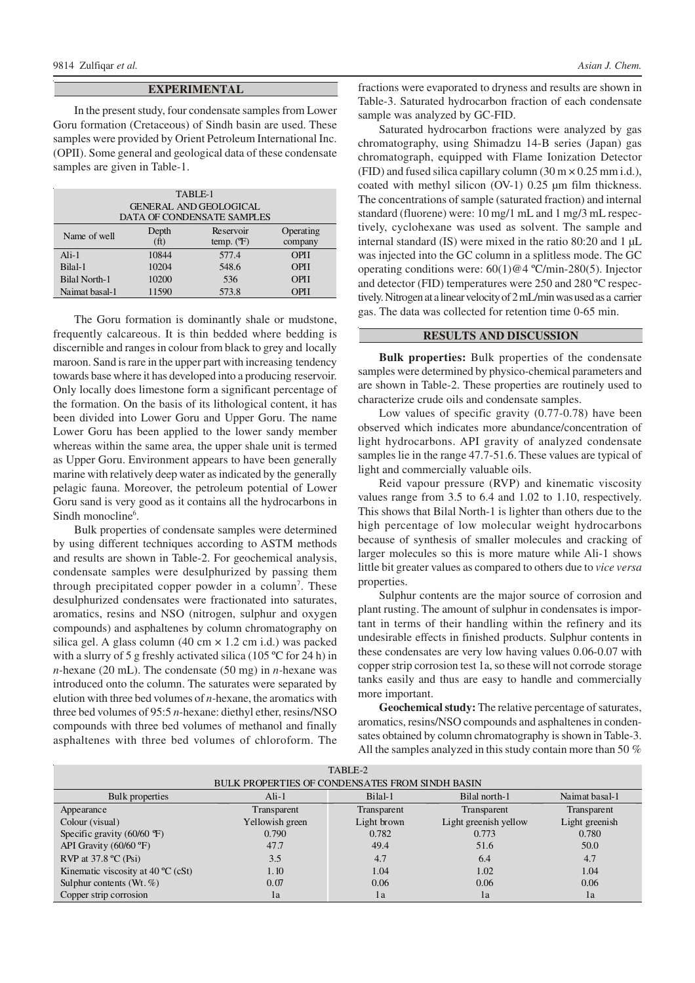# **EXPERIMENTAL**

In the present study, four condensate samples from Lower Goru formation (Cretaceous) of Sindh basin are used. These samples were provided by Orient Petroleum International Inc. (OPII). Some general and geological data of these condensate samples are given in Table-1.

| TABLE-1<br><b>GENERAL AND GEOLOGICAL</b><br>DATA OF CONDENSATE SAMPLES |                            |                                    |                      |  |  |
|------------------------------------------------------------------------|----------------------------|------------------------------------|----------------------|--|--|
| Name of well                                                           | Depth<br>(f <sup>t</sup> ) | Reservoir<br>temp. $(\mathcal{F})$ | Operating<br>company |  |  |
| $Ali-1$                                                                | 10844                      | 577.4                              | OPH                  |  |  |
| Bilal-1                                                                | 10204                      | 548.6                              | <b>OPH</b>           |  |  |
| Bilal North-1                                                          | 10200                      | 536                                | OPH                  |  |  |
| Naimat basal-1                                                         | 11590                      | 573.8                              | OPH                  |  |  |

The Goru formation is dominantly shale or mudstone, frequently calcareous. It is thin bedded where bedding is discernible and ranges in colour from black to grey and locally maroon. Sand is rare in the upper part with increasing tendency towards base where it has developed into a producing reservoir. Only locally does limestone form a significant percentage of the formation. On the basis of its lithological content, it has been divided into Lower Goru and Upper Goru. The name Lower Goru has been applied to the lower sandy member whereas within the same area, the upper shale unit is termed as Upper Goru. Environment appears to have been generally marine with relatively deep water as indicated by the generally pelagic fauna. Moreover, the petroleum potential of Lower Goru sand is very good as it contains all the hydrocarbons in Sindh monocline<sup>6</sup>.

Bulk properties of condensate samples were determined by using different techniques according to ASTM methods and results are shown in Table-2. For geochemical analysis, condensate samples were desulphurized by passing them through precipitated copper powder in a column<sup>7</sup>. These desulphurized condensates were fractionated into saturates, aromatics, resins and NSO (nitrogen, sulphur and oxygen compounds) and asphaltenes by column chromatography on silica gel. A glass column (40 cm  $\times$  1.2 cm i.d.) was packed with a slurry of 5 g freshly activated silica (105 °C for 24 h) in *n-*hexane (20 mL). The condensate (50 mg) in *n-*hexane was introduced onto the column. The saturates were separated by elution with three bed volumes of *n-*hexane, the aromatics with three bed volumes of 95:5 *n*-hexane: diethyl ether, resins/NSO compounds with three bed volumes of methanol and finally asphaltenes with three bed volumes of chloroform. The

fractions were evaporated to dryness and results are shown in Table-3. Saturated hydrocarbon fraction of each condensate sample was analyzed by GC-FID.

Saturated hydrocarbon fractions were analyzed by gas chromatography, using Shimadzu 14-B series (Japan) gas chromatograph, equipped with Flame Ionization Detector (FID) and fused silica capillary column  $(30 \text{ m} \times 0.25 \text{ mm} \text{ i.d.})$ , coated with methyl silicon (OV-1) 0.25 µm film thickness. The concentrations of sample (saturated fraction) and internal standard (fluorene) were: 10 mg/1 mL and 1 mg/3 mL respectively, cyclohexane was used as solvent. The sample and internal standard (IS) were mixed in the ratio 80:20 and  $1 \mu L$ was injected into the GC column in a splitless mode. The GC operating conditions were: 60(1)@4 ºC/min-280(5). Injector and detector (FID) temperatures were 250 and 280 ºC respectively. Nitrogen at a linear velocity of 2 mL/min was used as a carrier gas. The data was collected for retention time 0-65 min.

## **RESULTS AND DISCUSSION**

**Bulk properties:** Bulk properties of the condensate samples were determined by physico-chemical parameters and are shown in Table-2. These properties are routinely used to characterize crude oils and condensate samples.

Low values of specific gravity (0.77-0.78) have been observed which indicates more abundance/concentration of light hydrocarbons. API gravity of analyzed condensate samples lie in the range 47.7-51.6. These values are typical of light and commercially valuable oils.

Reid vapour pressure (RVP) and kinematic viscosity values range from 3.5 to 6.4 and 1.02 to 1.10, respectively. This shows that Bilal North-1 is lighter than others due to the high percentage of low molecular weight hydrocarbons because of synthesis of smaller molecules and cracking of larger molecules so this is more mature while Ali-1 shows little bit greater values as compared to others due to *vice versa* properties.

Sulphur contents are the major source of corrosion and plant rusting. The amount of sulphur in condensates is important in terms of their handling within the refinery and its undesirable effects in finished products. Sulphur contents in these condensates are very low having values 0.06-0.07 with copper strip corrosion test 1a, so these will not corrode storage tanks easily and thus are easy to handle and commercially more important.

**Geochemical study:** The relative percentage of saturates, aromatics, resins/NSO compounds and asphaltenes in condensates obtained by column chromatography is shown in Table-3. All the samples analyzed in this study contain more than 50 %

|                                                 |                 | TABLE-2     |                       |                |  |  |
|-------------------------------------------------|-----------------|-------------|-----------------------|----------------|--|--|
| BULK PROPERTIES OF CONDENSATES FROM SINDH BASIN |                 |             |                       |                |  |  |
| Bulk properties                                 | $Ali-1$         | Bilal-1     | Bilal north-1         | Naimat basal-1 |  |  |
| Appearance                                      | Transparent     | Transparent | Transparent           | Transparent    |  |  |
| Colour (visual)                                 | Yellowish green | Light brown | Light greenish yellow | Light greenish |  |  |
| Specific gravity $(60/60 \text{ T})$            | 0.790           | 0.782       | 0.773                 | 0.780          |  |  |
| API Gravity $(60/60 \degree F)$                 | 47.7            | 49.4        | 51.6                  | 50.0           |  |  |
| RVP at $37.8 \text{ °C}$ (Psi)                  | 3.5             | 4.7         | 6.4                   | 4.7            |  |  |
| Kinematic viscosity at 40 $^{\circ}C$ (cSt)     | 1.10            | 1.04        | 1.02                  | 1.04           |  |  |
| Sulphur contents $(Wt, %)$                      | 0.07            | 0.06        | 0.06                  | 0.06           |  |  |
| Copper strip corrosion                          | 1a              | 1a          | 1a                    | 1a             |  |  |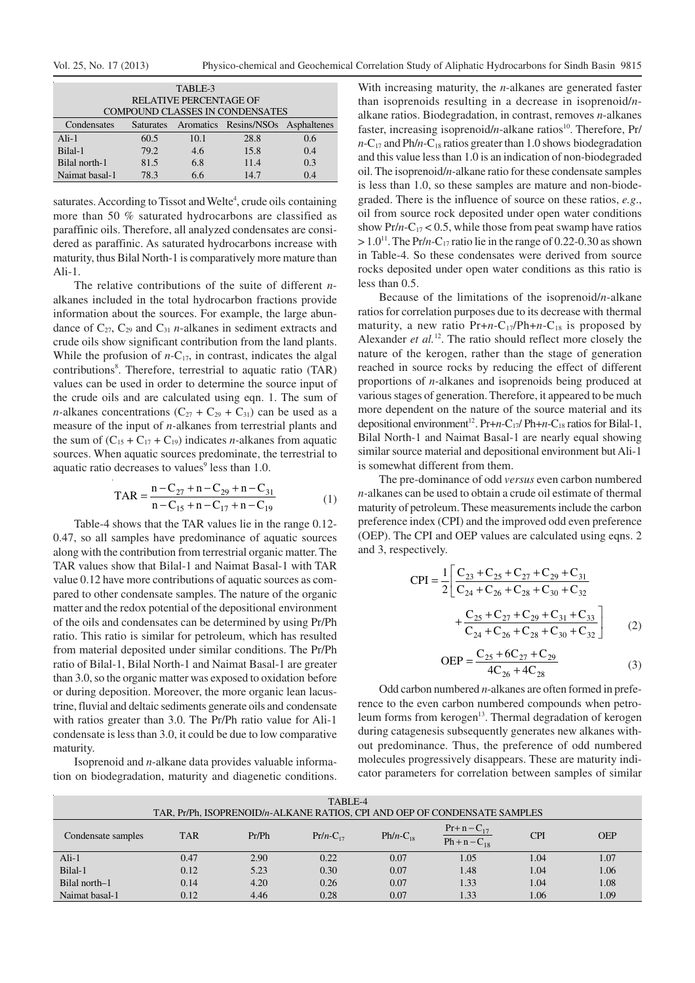| TABLE-3                                |      |      |                                 |                |  |
|----------------------------------------|------|------|---------------------------------|----------------|--|
| RELATIVE PERCENTAGE OF                 |      |      |                                 |                |  |
| <b>COMPOUND CLASSES IN CONDENSATES</b> |      |      |                                 |                |  |
| Condensates                            |      |      | Saturates Aromatics Resins/NSOs | Asphaltenes    |  |
| $Ali-1$                                | 60.5 | 10.1 | 28.8                            | 0.6            |  |
| Bilal-1                                | 79.2 | 4.6  | 15.8                            | 0.4            |  |
| Bilal north-1                          | 81.5 | 6.8  | 11.4                            | 0.3            |  |
| Naimat basal-1                         | 78.3 | 6.6  | 14.7                            | 0 <sub>4</sub> |  |

saturates. According to Tissot and Welte<sup>4</sup>, crude oils containing more than 50 % saturated hydrocarbons are classified as paraffinic oils. Therefore, all analyzed condensates are considered as paraffinic. As saturated hydrocarbons increase with maturity, thus Bilal North-1 is comparatively more mature than Ali-1.

The relative contributions of the suite of different *n*alkanes included in the total hydrocarbon fractions provide information about the sources. For example, the large abundance of  $C_{27}$ ,  $C_{29}$  and  $C_{31}$  *n*-alkanes in sediment extracts and crude oils show significant contribution from the land plants. While the profusion of  $n-C_{17}$ , in contrast, indicates the algal contributions<sup>8</sup>. Therefore, terrestrial to aquatic ratio (TAR) values can be used in order to determine the source input of the crude oils and are calculated using eqn. 1. The sum of *n*-alkanes concentrations  $(C_{27} + C_{29} + C_{31})$  can be used as a measure of the input of *n-*alkanes from terrestrial plants and the sum of  $(C_{15} + C_{17} + C_{19})$  indicates *n*-alkanes from aquatic sources. When aquatic sources predominate, the terrestrial to aquatic ratio decreases to values $9$  less than 1.0.

$$
TAR = \frac{n - C_{27} + n - C_{29} + n - C_{31}}{n - C_{15} + n - C_{17} + n - C_{19}}
$$
(1)

Table-4 shows that the TAR values lie in the range 0.12- 0.47, so all samples have predominance of aquatic sources along with the contribution from terrestrial organic matter. The TAR values show that Bilal-1 and Naimat Basal-1 with TAR value 0.12 have more contributions of aquatic sources as compared to other condensate samples. The nature of the organic matter and the redox potential of the depositional environment of the oils and condensates can be determined by using Pr/Ph ratio. This ratio is similar for petroleum, which has resulted from material deposited under similar conditions. The Pr/Ph ratio of Bilal-1, Bilal North-1 and Naimat Basal-1 are greater than 3.0, so the organic matter was exposed to oxidation before or during deposition. Moreover, the more organic lean lacustrine, fluvial and deltaic sediments generate oils and condensate with ratios greater than 3.0. The Pr/Ph ratio value for Ali-1 condensate is less than 3.0, it could be due to low comparative maturity.

Isoprenoid and *n*-alkane data provides valuable information on biodegradation, maturity and diagenetic conditions.

With increasing maturity, the *n*-alkanes are generated faster than isoprenoids resulting in a decrease in isoprenoid/*n*alkane ratios. Biodegradation, in contrast, removes *n*-alkanes faster, increasing isoprenoid/n-alkane ratios<sup>10</sup>. Therefore, Pr/  $n - C_{17}$  and Ph/ $n - C_{18}$  ratios greater than 1.0 shows biodegradation and this value less than 1.0 is an indication of non-biodegraded oil. The isoprenoid/*n*-alkane ratio for these condensate samples is less than 1.0, so these samples are mature and non-biodegraded. There is the influence of source on these ratios, *e.g*., oil from source rock deposited under open water conditions show  $Pr/n-C_{17} < 0.5$ , while those from peat swamp have ratios  $> 1.0<sup>11</sup>$ . The Pr/*n*-C<sub>17</sub> ratio lie in the range of 0.22-0.30 as shown in Table-4. So these condensates were derived from source rocks deposited under open water conditions as this ratio is less than 0.5.

Because of the limitations of the isoprenoid/*n*-alkane ratios for correlation purposes due to its decrease with thermal maturity, a new ratio  $Pr+n-C_{17}/Ph+n-C_{18}$  is proposed by Alexander *et al.*<sup>12</sup>. The ratio should reflect more closely the nature of the kerogen, rather than the stage of generation reached in source rocks by reducing the effect of different proportions of *n*-alkanes and isoprenoids being produced at various stages of generation. Therefore, it appeared to be much more dependent on the nature of the source material and its depositional environment<sup>12</sup>. Pr+*n*-C<sub>17</sub>/ Ph+*n*-C<sub>18</sub> ratios for Bilal-1, Bilal North-1 and Naimat Basal-1 are nearly equal showing similar source material and depositional environment but Ali-1 is somewhat different from them.

The pre-dominance of odd *versus* even carbon numbered *n-*alkanes can be used to obtain a crude oil estimate of thermal maturity of petroleum. These measurements include the carbon preference index (CPI) and the improved odd even preference (OEP). The CPI and OEP values are calculated using eqns. 2 and 3, respectively.

$$
CPI = \frac{1}{2} \left[ \frac{C_{23} + C_{25} + C_{27} + C_{29} + C_{31}}{C_{24} + C_{26} + C_{28} + C_{30} + C_{32}} + \frac{C_{25} + C_{27} + C_{29} + C_{31} + C_{33}}{C_{24} + C_{26} + C_{28} + C_{30} + C_{32}} \right]
$$
(2)

$$
OEP = \frac{C_{25} + 6C_{27} + C_{29}}{4C_{26} + 4C_{28}}
$$
 (3)

Odd carbon numbered *n*-alkanes are often formed in preference to the even carbon numbered compounds when petroleum forms from kerogen<sup>13</sup>. Thermal degradation of kerogen during catagenesis subsequently generates new alkanes without predominance. Thus, the preference of odd numbered molecules progressively disappears. These are maturity indicator parameters for correlation between samples of similar

| TABLE-4                                                                   |            |       |               |               |                                    |            |            |
|---------------------------------------------------------------------------|------------|-------|---------------|---------------|------------------------------------|------------|------------|
| TAR, Pr/Ph, ISOPRENOID/n-ALKANE RATIOS, CPI AND OEP OF CONDENSATE SAMPLES |            |       |               |               |                                    |            |            |
| Condensate samples                                                        | <b>TAR</b> | Pr/Ph | $Pr/n-C_{17}$ | $Ph/n-C_{18}$ | $Pr+n-C_{17}$<br>$Ph + n - C_{18}$ | <b>CPI</b> | <b>OEP</b> |
| $Ali-1$                                                                   | 0.47       | 2.90  | 0.22          | 0.07          | 1.05                               | 1.04       | 1.07       |
| Bilal-1                                                                   | 0.12       | 5.23  | 0.30          | 0.07          | 1.48                               | 1.04       | 1.06       |
| Bilal north-1                                                             | 0.14       | 4.20  | 0.26          | 0.07          | 1.33                               | 1.04       | 1.08       |
| Naimat basal-1                                                            | 0.12       | 4.46  | 0.28          | 0.07          | 1.33                               | 1.06       | 1.09       |